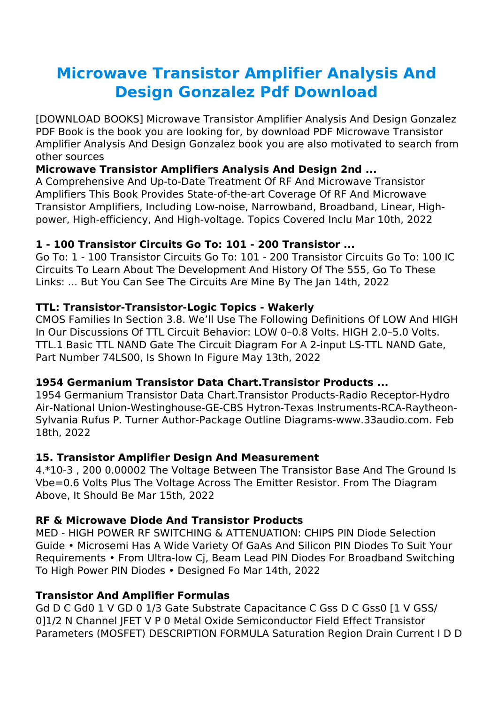# **Microwave Transistor Amplifier Analysis And Design Gonzalez Pdf Download**

[DOWNLOAD BOOKS] Microwave Transistor Amplifier Analysis And Design Gonzalez PDF Book is the book you are looking for, by download PDF Microwave Transistor Amplifier Analysis And Design Gonzalez book you are also motivated to search from other sources

## **Microwave Transistor Amplifiers Analysis And Design 2nd ...**

A Comprehensive And Up-to-Date Treatment Of RF And Microwave Transistor Amplifiers This Book Provides State-of-the-art Coverage Of RF And Microwave Transistor Amplifiers, Including Low-noise, Narrowband, Broadband, Linear, Highpower, High-efficiency, And High-voltage. Topics Covered Inclu Mar 10th, 2022

#### **1 - 100 Transistor Circuits Go To: 101 - 200 Transistor ...**

Go To: 1 - 100 Transistor Circuits Go To: 101 - 200 Transistor Circuits Go To: 100 IC Circuits To Learn About The Development And History Of The 555, Go To These Links: ... But You Can See The Circuits Are Mine By The Jan 14th, 2022

#### **TTL: Transistor-Transistor-Logic Topics - Wakerly**

CMOS Families In Section 3.8. We'll Use The Following Definitions Of LOW And HIGH In Our Discussions Of TTL Circuit Behavior: LOW 0–0.8 Volts. HIGH 2.0–5.0 Volts. TTL.1 Basic TTL NAND Gate The Circuit Diagram For A 2-input LS-TTL NAND Gate, Part Number 74LS00, Is Shown In Figure May 13th, 2022

#### **1954 Germanium Transistor Data Chart.Transistor Products ...**

1954 Germanium Transistor Data Chart.Transistor Products-Radio Receptor-Hydro Air-National Union-Westinghouse-GE-CBS Hytron-Texas Instruments-RCA-Raytheon-Sylvania Rufus P. Turner Author-Package Outline Diagrams-www.33audio.com. Feb 18th, 2022

#### **15. Transistor Amplifier Design And Measurement**

4.\*10-3, 200 0.00002 The Voltage Between The Transistor Base And The Ground Is Vbe=0.6 Volts Plus The Voltage Across The Emitter Resistor. From The Diagram Above, It Should Be Mar 15th, 2022

## **RF & Microwave Diode And Transistor Products**

MED - HIGH POWER RF SWITCHING & ATTENUATION: CHIPS PIN Diode Selection Guide • Microsemi Has A Wide Variety Of GaAs And Silicon PIN Diodes To Suit Your Requirements • From Ultra-low Cj, Beam Lead PIN Diodes For Broadband Switching To High Power PIN Diodes • Designed Fo Mar 14th, 2022

## **Transistor And Amplifier Formulas**

Gd D C Gd0 1 V GD 0 1/3 Gate Substrate Capacitance C Gss D C Gss0 [1 V GSS/ 0]1/2 N Channel JFET V P 0 Metal Oxide Semiconductor Field Effect Transistor Parameters (MOSFET) DESCRIPTION FORMULA Saturation Region Drain Current I D D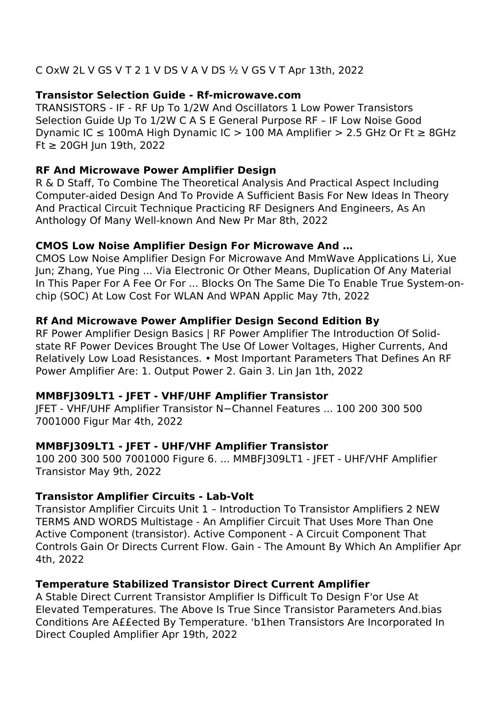## C OxW 2L V GS V T 2 1 V DS V A V DS ½ V GS V T Apr 13th, 2022

#### **Transistor Selection Guide - Rf-microwave.com**

TRANSISTORS - IF - RF Up To 1/2W And Oscillators 1 Low Power Transistors Selection Guide Up To 1/2W C A S E General Purpose RF – IF Low Noise Good Dynamic IC  $\leq 100$ mA High Dynamic IC > 100 MA Amplifier > 2.5 GHz Or Ft  $\geq 8$ GHz Ft ≥ 20GH Jun 19th, 2022

### **RF And Microwave Power Amplifier Design**

R & D Staff, To Combine The Theoretical Analysis And Practical Aspect Including Computer-aided Design And To Provide A Sufficient Basis For New Ideas In Theory And Practical Circuit Technique Practicing RF Designers And Engineers, As An Anthology Of Many Well-known And New Pr Mar 8th, 2022

#### **CMOS Low Noise Amplifier Design For Microwave And …**

CMOS Low Noise Amplifier Design For Microwave And MmWave Applications Li, Xue Jun; Zhang, Yue Ping ... Via Electronic Or Other Means, Duplication Of Any Material In This Paper For A Fee Or For ... Blocks On The Same Die To Enable True System-onchip (SOC) At Low Cost For WLAN And WPAN Applic May 7th, 2022

## **Rf And Microwave Power Amplifier Design Second Edition By**

RF Power Amplifier Design Basics | RF Power Amplifier The Introduction Of Solidstate RF Power Devices Brought The Use Of Lower Voltages, Higher Currents, And Relatively Low Load Resistances. • Most Important Parameters That Defines An RF Power Amplifier Are: 1. Output Power 2. Gain 3. Lin Jan 1th, 2022

## **MMBFJ309LT1 - JFET - VHF/UHF Amplifier Transistor**

JFET - VHF/UHF Amplifier Transistor N−Channel Features ... 100 200 300 500 7001000 Figur Mar 4th, 2022

## **MMBFJ309LT1 - JFET - UHF/VHF Amplifier Transistor**

100 200 300 500 7001000 Figure 6. ... MMBFJ309LT1 - JFET - UHF/VHF Amplifier Transistor May 9th, 2022

## **Transistor Amplifier Circuits - Lab-Volt**

Transistor Amplifier Circuits Unit 1 – Introduction To Transistor Amplifiers 2 NEW TERMS AND WORDS Multistage - An Amplifier Circuit That Uses More Than One Active Component (transistor). Active Component - A Circuit Component That Controls Gain Or Directs Current Flow. Gain - The Amount By Which An Amplifier Apr 4th, 2022

## **Temperature Stabilized Transistor Direct Current Amplifier**

A Stable Direct Current Transistor Amplifier Is Difficult To Design F'or Use At Elevated Temperatures. The Above Is True Since Transistor Parameters And.bias Conditions Are A££ected By Temperature. 'b1hen Transistors Are Incorporated In Direct Coupled Amplifier Apr 19th, 2022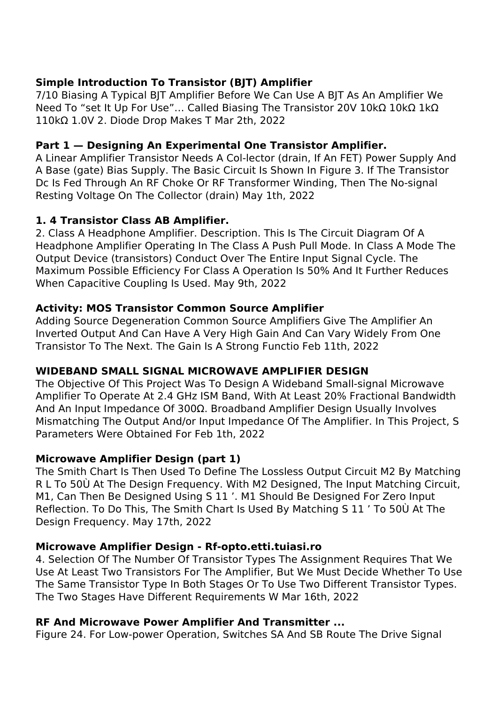# **Simple Introduction To Transistor (BJT) Amplifier**

7/10 Biasing A Typical BJT Amplifier Before We Can Use A BJT As An Amplifier We Need To "set It Up For Use"… Called Biasing The Transistor 20V 10kΩ 10kΩ 1kΩ 110kΩ 1.0V 2. Diode Drop Makes T Mar 2th, 2022

# **Part 1 — Designing An Experimental One Transistor Amplifier.**

A Linear Amplifier Transistor Needs A Col-lector (drain, If An FET) Power Supply And A Base (gate) Bias Supply. The Basic Circuit Is Shown In Figure 3. If The Transistor Dc Is Fed Through An RF Choke Or RF Transformer Winding, Then The No-signal Resting Voltage On The Collector (drain) May 1th, 2022

# **1. 4 Transistor Class AB Amplifier.**

2. Class A Headphone Amplifier. Description. This Is The Circuit Diagram Of A Headphone Amplifier Operating In The Class A Push Pull Mode. In Class A Mode The Output Device (transistors) Conduct Over The Entire Input Signal Cycle. The Maximum Possible Efficiency For Class A Operation Is 50% And It Further Reduces When Capacitive Coupling Is Used. May 9th, 2022

# **Activity: MOS Transistor Common Source Amplifier**

Adding Source Degeneration Common Source Amplifiers Give The Amplifier An Inverted Output And Can Have A Very High Gain And Can Vary Widely From One Transistor To The Next. The Gain Is A Strong Functio Feb 11th, 2022

# **WIDEBAND SMALL SIGNAL MICROWAVE AMPLIFIER DESIGN**

The Objective Of This Project Was To Design A Wideband Small-signal Microwave Amplifier To Operate At 2.4 GHz ISM Band, With At Least 20% Fractional Bandwidth And An Input Impedance Of 300Ω. Broadband Amplifier Design Usually Involves Mismatching The Output And/or Input Impedance Of The Amplifier. In This Project, S Parameters Were Obtained For Feb 1th, 2022

# **Microwave Amplifier Design (part 1)**

The Smith Chart Is Then Used To Define The Lossless Output Circuit M2 By Matching R L To 50Ù At The Design Frequency. With M2 Designed, The Input Matching Circuit, M1, Can Then Be Designed Using S 11 '. M1 Should Be Designed For Zero Input Reflection. To Do This, The Smith Chart Is Used By Matching S 11 ' To 50Ù At The Design Frequency. May 17th, 2022

# **Microwave Amplifier Design - Rf-opto.etti.tuiasi.ro**

4. Selection Of The Number Of Transistor Types The Assignment Requires That We Use At Least Two Transistors For The Amplifier, But We Must Decide Whether To Use The Same Transistor Type In Both Stages Or To Use Two Different Transistor Types. The Two Stages Have Different Requirements W Mar 16th, 2022

# **RF And Microwave Power Amplifier And Transmitter ...**

Figure 24. For Low-power Operation, Switches SA And SB Route The Drive Signal